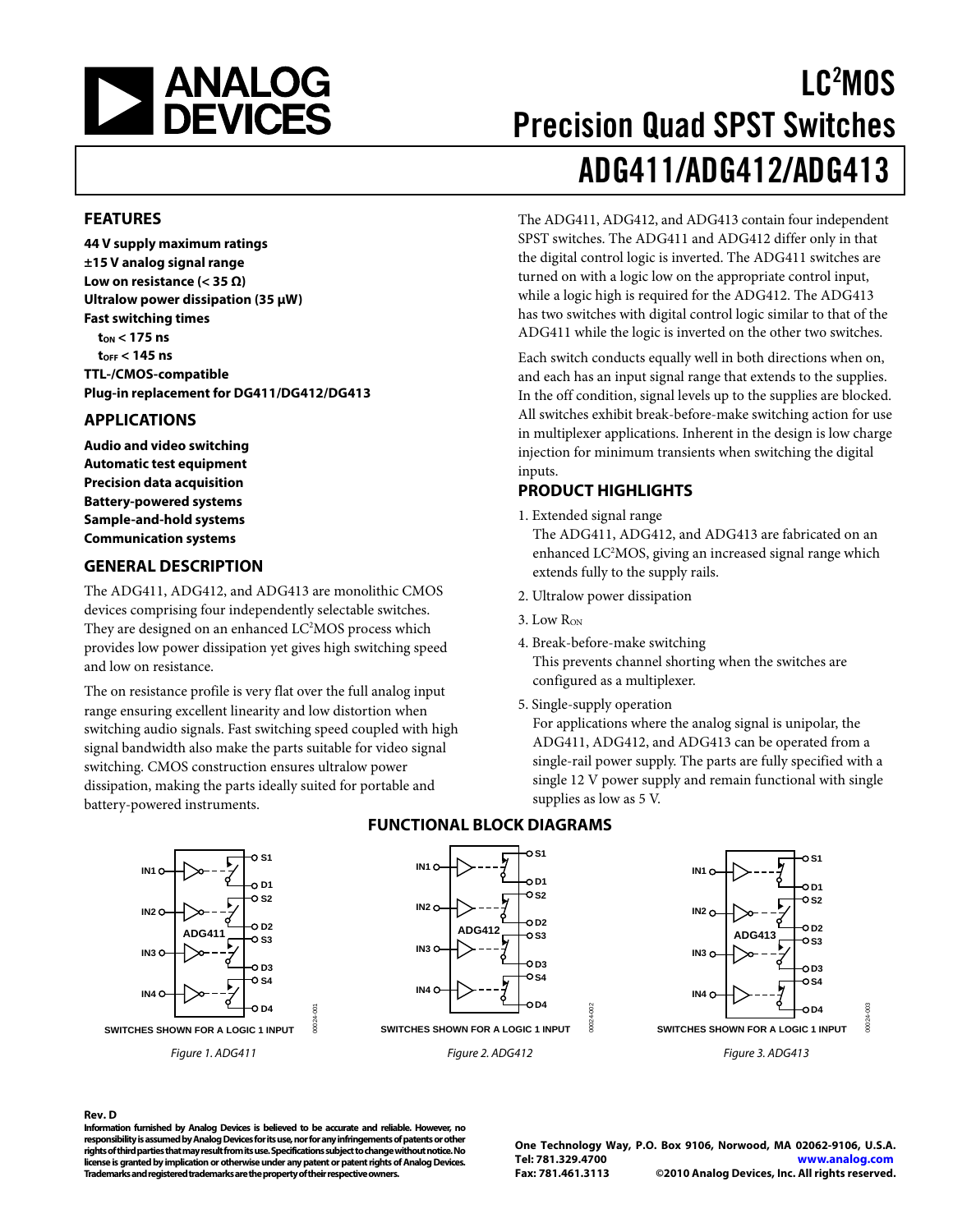<span id="page-0-0"></span>

# LC2 MOS Precision Quad SPST Switches ADG411/ADG412/ADG413

The ADG411, ADG412, and ADG413 contain four independent SPST switches. The ADG411 and ADG412 differ only in that the digital control logic is inverted. The ADG411 switches are turned on with a logic low on the appropriate control input, while a logic high is required for the ADG412. The ADG413 has two switches with digital control logic similar to that of the ADG411 while the logic is inverted on the other two switches.

### **FEATURES**

**44 V supply maximum ratings ±15 V analog signal range Low on resistance (< 35 Ω) Ultralow power dissipation (35 μW) Fast switching times tON < 175 ns tOFF < 145 ns TTL-/CMOS-compatible Plug-in replacement for DG411/DG412/DG413** 

### **APPLICATIONS**

**Audio and video switching Automatic test equipment Precision data acquisition Battery-powered systems Sample-and-hold systems Communication systems** 

### **GENERAL DESCRIPTION**

The ADG411, ADG412, and ADG413 are monolithic CMOS devices comprising four independently selectable switches. They are designed on an enhanced LC<sup>2</sup>MOS process which provides low power dissipation yet gives high switching speed and low on resistance.

The on resistance profile is very flat over the full analog input range ensuring excellent linearity and low distortion when switching audio signals. Fast switching speed coupled with high signal bandwidth also make the parts suitable for video signal switching. CMOS construction ensures ultralow power dissipation, making the parts ideally suited for portable and battery-powered instruments.





#### inputs. **PRODUCT HIGHLIGHTS**

1. Extended signal range

The ADG411, ADG412, and ADG413 are fabricated on an enhanced LC<sup>2</sup>MOS, giving an increased signal range which extends fully to the supply rails.

- 2. Ultralow power dissipation
- $3.$  Low  $R_{ON}$
- 4. Break-before-make switching This prevents channel shorting when the switches are configured as a multiplexer.
- 5. Single-supply operation

For applications where the analog signal is unipolar, the ADG411, ADG412, and ADG413 can be operated from a single-rail power supply. The parts are fully specified with a single 12 V power supply and remain functional with single supplies as low as 5 V.



**IN1 IN2 IN3 IN4** 0.S1 **D1** −೧.s2 **D2** จ.รา **D3 S4 D4 ADG411 SWITCHES SHOWN FOR A LOGIC 1 INPUT**

#### Figure 1. ADG411

#### **FUNCTIONAL BLOCK DIAGRAMS**

**Rev. D** 

**Information furnished by Analog Devices is believed to be accurate and reliable. However, no responsibility is assumed by Analog Devices for its use, nor for any infringements of patents or other rights of third parties that may result from its use. Specifications subject to change without notice. No license is granted by implication or otherwise under any patent or patent rights of Analog Devices. Trademarks and registered trademarks are the property of their respective owners.** 

00024-001

**DO24** 

**One Technology Way, P.O. Box 9106, Norwood, MA 02062-9106, U.S.A. Tel: 781.329.4700 www.analog.com Fax: 781.461.3113 ©2010 Analog Devices, Inc. All rights reserved.**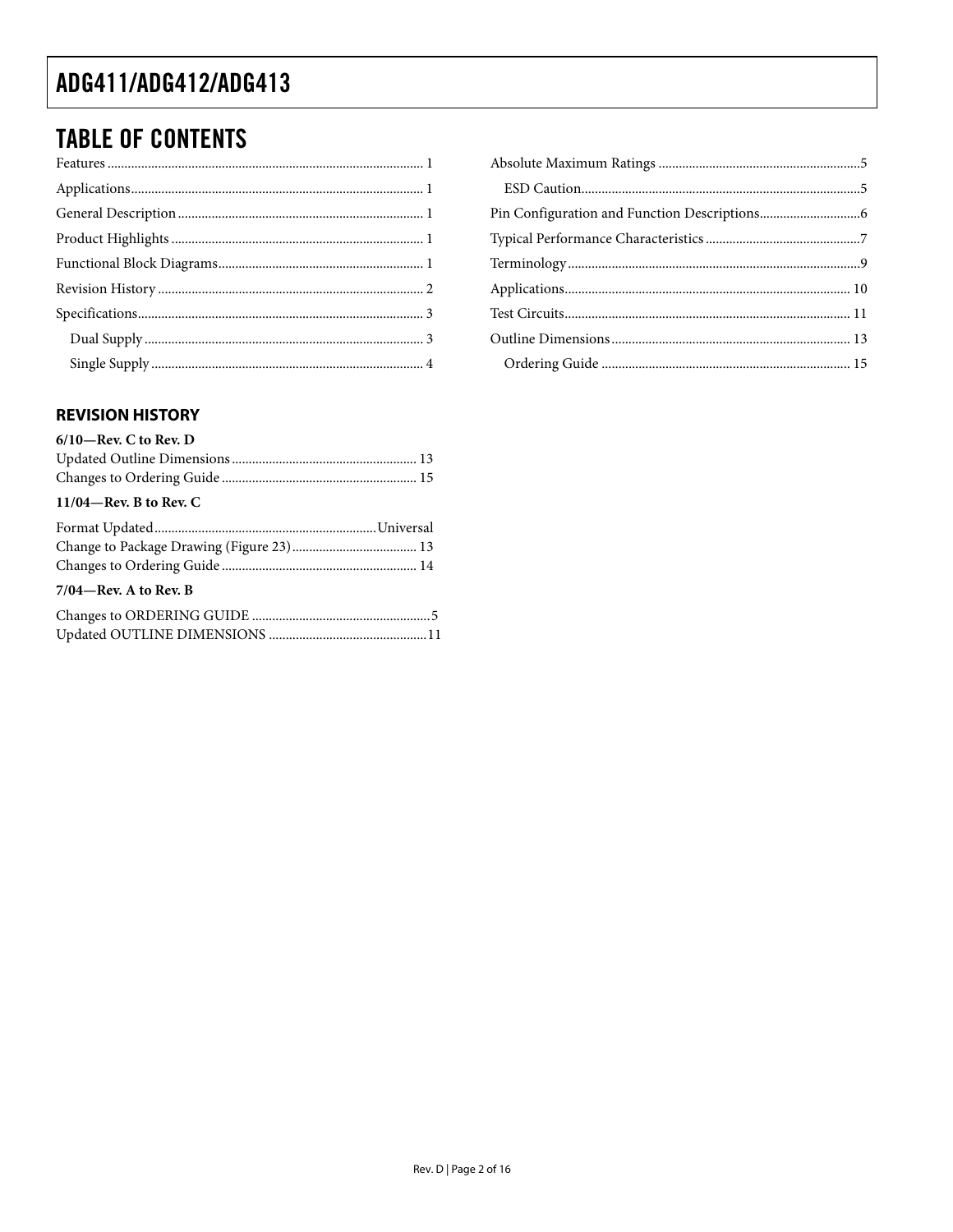### **TABLE OF CONTENTS**

### **REVISION HISTORY**

| $6/10$ —Rev. C to Rev. D  |  |
|---------------------------|--|
|                           |  |
|                           |  |
| $11/04$ —Rev. B to Rev. C |  |
|                           |  |
|                           |  |
|                           |  |
| $7/04$ —Rev. A to Rev. B  |  |
|                           |  |
|                           |  |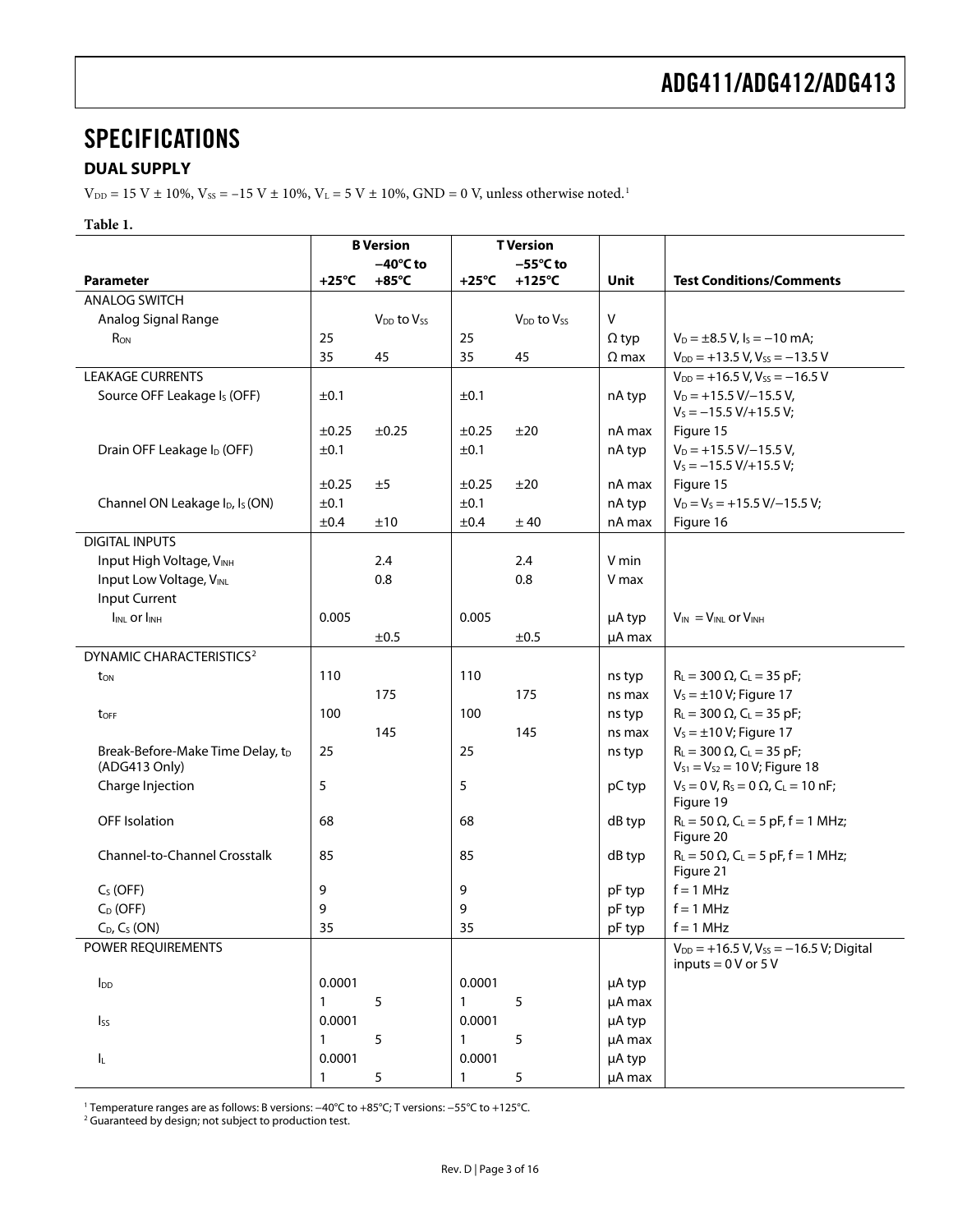### <span id="page-2-1"></span><span id="page-2-0"></span>**SPECIFICATIONS**

### **DUAL SUPPLY**

 $V_{DD} = 15$  V  $\pm$  10%,  $V_{SS} = -15$  V  $\pm$  10%,  $V_L = 5$  V  $\pm$  10%, GND = 0 V, unless otherwise noted.<sup>1</sup>

#### **Table 1.**

|                                                         |                 | <b>B</b> Version     | <b>T</b> Version |                                    |              |                                                                                      |
|---------------------------------------------------------|-----------------|----------------------|------------------|------------------------------------|--------------|--------------------------------------------------------------------------------------|
|                                                         |                 | $-40^{\circ}$ C to   |                  | $-55^{\circ}$ C to                 |              |                                                                                      |
| <b>Parameter</b>                                        | $+25^{\circ}$ C | $+85^{\circ}$ C      | $+25^{\circ}$ C  | $+125^{\circ}C$                    | <b>Unit</b>  | <b>Test Conditions/Comments</b>                                                      |
| <b>ANALOG SWITCH</b>                                    |                 |                      |                  |                                    |              |                                                                                      |
| Analog Signal Range                                     |                 | $V_{DD}$ to $V_{SS}$ |                  | V <sub>DD</sub> to V <sub>ss</sub> | V            |                                                                                      |
| R <sub>ON</sub>                                         | 25              |                      | 25               |                                    | $\Omega$ typ | $V_D = \pm 8.5$ V, $I_S = -10$ mA;                                                   |
|                                                         | 35              | 45                   | 35               | 45                                 | $\Omega$ max | $V_{DD}$ = +13.5 V, Vss = -13.5 V                                                    |
| <b>LEAKAGE CURRENTS</b>                                 |                 |                      |                  |                                    |              | $V_{DD}$ = +16.5 V, Vss = -16.5 V                                                    |
| Source OFF Leakage Is (OFF)                             | ±0.1            |                      | ±0.1             |                                    | nA typ       | $V_D = +15.5 V/-15.5 V,$<br>$V_s = -15.5 V/+15.5 V;$                                 |
|                                                         | $\pm 0.25$      | $\pm 0.25$           | ±0.25            | ±20                                | nA max       | Figure 15                                                                            |
| Drain OFF Leakage I <sub>D</sub> (OFF)                  | ±0.1            |                      | ±0.1             |                                    | nA typ       | $V_D$ = +15.5 V/-15.5 V,<br>$V_s = -15.5 V/ + 15.5 V;$                               |
|                                                         | $\pm 0.25$      | ±5                   | ±0.25            | ±20                                | nA max       | Figure 15                                                                            |
| Channel ON Leakage I <sub>D</sub> , I <sub>S</sub> (ON) | ±0.1            |                      | ±0.1             |                                    | nA typ       | $V_D = V_S = +15.5 V/-15.5 V;$                                                       |
|                                                         | ±0.4            | ±10                  | ±0.4             | ± 40                               | nA max       | Figure 16                                                                            |
| <b>DIGITAL INPUTS</b>                                   |                 |                      |                  |                                    |              |                                                                                      |
| Input High Voltage, VINH                                |                 | 2.4                  |                  | 2.4                                | V min        |                                                                                      |
| Input Low Voltage, VINL                                 |                 | 0.8                  |                  | 0.8                                | V max        |                                                                                      |
| Input Current                                           |                 |                      |                  |                                    |              |                                                                                      |
| <b>IINL Or IINH</b>                                     | 0.005           |                      | 0.005            |                                    | µA typ       | $V_{IN} = V_{INL}$ or $V_{INH}$                                                      |
|                                                         |                 | ±0.5                 |                  | ±0.5                               | $\mu$ A max  |                                                                                      |
| DYNAMIC CHARACTERISTICS <sup>2</sup>                    |                 |                      |                  |                                    |              |                                                                                      |
| ton                                                     | 110             |                      | 110              |                                    | ns typ       | $R_L = 300 \Omega$ , $C_L = 35$ pF;                                                  |
|                                                         |                 | 175                  |                  | 175                                | ns max       | $V_s = \pm 10 V$ ; Figure 17                                                         |
| toff                                                    | 100             |                      | 100              |                                    | ns typ       | $R_L = 300 \Omega$ , C <sub>L</sub> = 35 pF;                                         |
|                                                         |                 | 145                  |                  | 145                                | ns max       | $V_s = \pm 10 V$ ; Figure 17                                                         |
| Break-Before-Make Time Delay, tD<br>(ADG413 Only)       | 25              |                      | 25               |                                    | ns typ       | $R_L = 300 \Omega$ , C <sub>L</sub> = 35 pF;<br>$V_{S1} = V_{S2} = 10 V$ ; Figure 18 |
| Charge Injection                                        | 5               |                      | 5                |                                    | pC typ       | $V_s = 0 V$ , $R_s = 0 \Omega$ , $C_l = 10 nF$ ;<br>Figure 19                        |
| <b>OFF</b> Isolation                                    | 68              |                      | 68               |                                    | dB typ       | $R_L = 50 \Omega$ , C <sub>L</sub> = 5 pF, f = 1 MHz;<br>Figure 20                   |
| Channel-to-Channel Crosstalk                            | 85              |                      | 85               |                                    | dB typ       | $R_L = 50 \Omega$ , $C_L = 5 pF$ , f = 1 MHz;<br>Figure 21                           |
| $C_S$ (OFF)                                             | 9               |                      | 9                |                                    | pF typ       | $f = 1$ MHz                                                                          |
| $C_D$ (OFF)                                             | 9               |                      | 9                |                                    | pF typ       | $f = 1$ MHz                                                                          |
| $C_D$ , $C_S$ (ON)                                      | 35              |                      | 35               |                                    | pF typ       | $f = 1$ MHz                                                                          |
| POWER REQUIREMENTS                                      |                 |                      |                  |                                    |              | $V_{DD}$ = +16.5 V, V <sub>ss</sub> = -16.5 V; Digital<br>inputs = $0V$ or $5V$      |
| $I_{DD}$                                                | 0.0001          |                      | 0.0001           |                                    | µA typ       |                                                                                      |
|                                                         | $\mathbf{1}$    | $\overline{5}$       | $\mathbf{1}$     | 5                                  | µA max       |                                                                                      |
| $I_{SS}$                                                | 0.0001          |                      | 0.0001           |                                    | µA typ       |                                                                                      |
|                                                         | $\mathbf{1}$    | 5                    | $\mathbf{1}$     | 5                                  | µA max       |                                                                                      |
| IL.                                                     | 0.0001          |                      | 0.0001           |                                    | µA typ       |                                                                                      |
|                                                         | $\mathbf{1}$    | 5                    | $\mathbf{1}$     | 5                                  | µA max       |                                                                                      |

1 Temperature ranges are as follows: B versions: −40°C to +85°C; T versions: −55°C to +125°C. 2 Guaranteed by design; not subject to production test.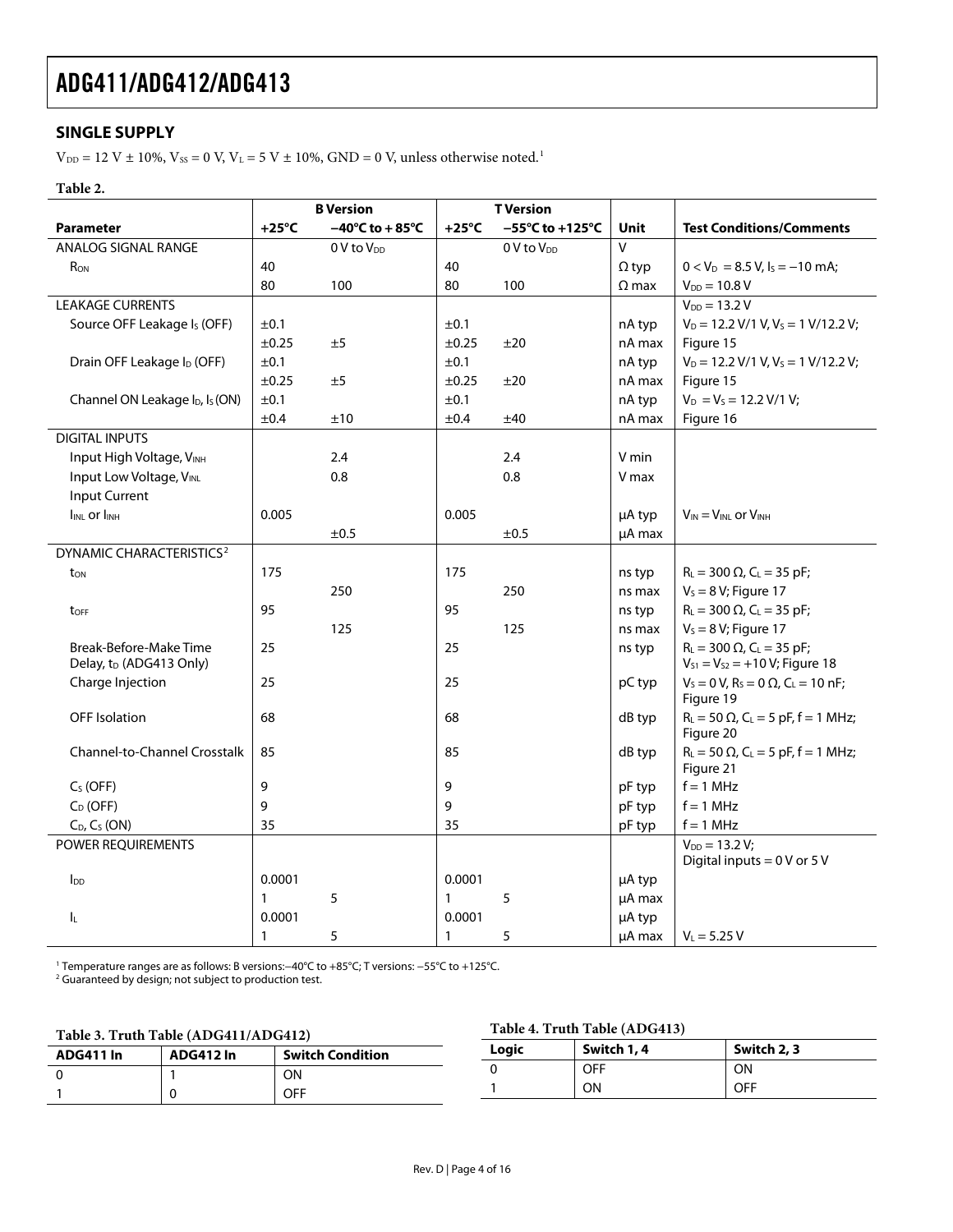### <span id="page-3-0"></span>**SINGLE SUPPLY**

 $\rm V_{\rm DD}$  = 12 V  $\pm$  10%, Vss = 0 V, V $\rm L$  = 5 V  $\pm$  10%, GND = 0 V, unless otherwise noted.<sup>1</sup>

### **Table 2.**

|                                                         |                 | <b>B</b> Version                     |                 | <b>T</b> Version                     |              |                                                                                       |
|---------------------------------------------------------|-----------------|--------------------------------------|-----------------|--------------------------------------|--------------|---------------------------------------------------------------------------------------|
| <b>Parameter</b>                                        | $+25^{\circ}$ C | $-40^{\circ}$ C to + 85 $^{\circ}$ C | $+25^{\circ}$ C | $-55^{\circ}$ C to +125 $^{\circ}$ C | Unit         | <b>Test Conditions/Comments</b>                                                       |
| ANALOG SIGNAL RANGE                                     |                 | 0 V to V <sub>DD</sub>               |                 | 0 V to V <sub>DD</sub>               | V            |                                                                                       |
| R <sub>ON</sub>                                         | 40              |                                      | 40              |                                      | $\Omega$ typ | $0 < V_D = 8.5 V, I_S = -10$ mA;                                                      |
|                                                         | 80              | 100                                  | 80              | 100                                  | $\Omega$ max | $V_{DD} = 10.8 V$                                                                     |
| <b>LEAKAGE CURRENTS</b>                                 |                 |                                      |                 |                                      |              | $V_{DD} = 13.2 V$                                                                     |
| Source OFF Leakage Is (OFF)                             | ±0.1            |                                      | ±0.1            |                                      | nA typ       | $V_D = 12.2 V/1 V, V_S = 1 V/12.2 V;$                                                 |
|                                                         | ±0.25           | ±5                                   | ±0.25           | ±20                                  | nA max       | Figure 15                                                                             |
| Drain OFF Leakage I <sub>D</sub> (OFF)                  | ±0.1            |                                      | ±0.1            |                                      | nA typ       | $V_D = 12.2 V/1 V, V_S = 1 V/12.2 V;$                                                 |
|                                                         | ±0.25           | ±5                                   | ±0.25           | ±20                                  | nA max       | Figure 15                                                                             |
| Channel ON Leakage I <sub>D</sub> , I <sub>S</sub> (ON) | ±0.1            |                                      | ±0.1            |                                      | nA typ       | $V_D = V_S = 12.2 V/1 V_i$                                                            |
|                                                         | ±0.4            | ±10                                  | ±0.4            | ±40                                  | nA max       | Figure 16                                                                             |
| <b>DIGITAL INPUTS</b>                                   |                 |                                      |                 |                                      |              |                                                                                       |
| Input High Voltage, VINH                                |                 | 2.4                                  |                 | 2.4                                  | V min        |                                                                                       |
| Input Low Voltage, VINL                                 |                 | 0.8                                  |                 | 0.8                                  | V max        |                                                                                       |
| <b>Input Current</b>                                    |                 |                                      |                 |                                      |              |                                                                                       |
| IINL OF IINH                                            | 0.005           |                                      | 0.005           |                                      | µA typ       | $V_{IN} = V_{INL}$ or $V_{INH}$                                                       |
|                                                         |                 | ±0.5                                 |                 | ±0.5                                 | µA max       |                                                                                       |
| DYNAMIC CHARACTERISTICS <sup>2</sup>                    |                 |                                      |                 |                                      |              |                                                                                       |
| ton                                                     | 175             |                                      | 175             |                                      | ns typ       | $R_L = 300 \Omega$ , C <sub>L</sub> = 35 pF;                                          |
|                                                         |                 | 250                                  |                 | 250                                  | ns max       | $V_s = 8 V$ ; Figure 17                                                               |
| toff                                                    | 95              |                                      | 95              |                                      | ns typ       | $R_{L} = 300 \Omega$ , C <sub>L</sub> = 35 pF;                                        |
|                                                         |                 | 125                                  |                 | 125                                  | ns max       | $V_s = 8 V$ ; Figure 17                                                               |
| Break-Before-Make Time<br>Delay, tD (ADG413 Only)       | 25              |                                      | 25              |                                      | ns typ       | $R_L = 300 \Omega$ , C <sub>L</sub> = 35 pF;<br>$V_{S1} = V_{S2} = +10 V$ ; Figure 18 |
| Charge Injection                                        | 25              |                                      | 25              |                                      | pC typ       | $V_s = 0 V$ , $R_s = 0 \Omega$ , $C_l = 10 nF$ ;<br>Figure 19                         |
| <b>OFF</b> Isolation                                    | 68              |                                      | 68              |                                      | dB typ       | $R_L = 50 \Omega$ , C <sub>L</sub> = 5 pF, f = 1 MHz;<br>Figure 20                    |
| <b>Channel-to-Channel Crosstalk</b>                     | 85              |                                      | 85              |                                      | dB typ       | $R_L = 50 \Omega$ , C <sub>L</sub> = 5 pF, f = 1 MHz;<br>Figure 21                    |
| $C_S$ (OFF)                                             | 9               |                                      | 9               |                                      | pF typ       | $f = 1$ MHz                                                                           |
| $C_D$ (OFF)                                             | 9               |                                      | 9               |                                      | pF typ       | $f = 1$ MHz                                                                           |
| $C_D$ , $C_S$ (ON)                                      | 35              |                                      | 35              |                                      | pF typ       | $f = 1$ MHz                                                                           |
| POWER REQUIREMENTS                                      |                 |                                      |                 |                                      |              | $V_{DD} = 13.2 V;$                                                                    |
|                                                         |                 |                                      |                 |                                      |              | Digital inputs = $0$ V or 5 V                                                         |
| $I_{DD}$                                                | 0.0001          |                                      | 0.0001          |                                      | µA typ       |                                                                                       |
|                                                         | 1               | 5                                    | $\mathbf{1}$    | 5                                    | µA max       |                                                                                       |
| IL.                                                     | 0.0001          |                                      | 0.0001          |                                      | µA typ       |                                                                                       |
|                                                         | 1               | 5                                    | 1               | 5                                    | µA max       | $V_{L} = 5.25 V$                                                                      |

1 Temperature ranges are as follows: B versions:−40°C to +85°C; T versions: −55°C to +125°C. 2 Guaranteed by design; not subject to production test.

### **Table 3. Truth Table (ADG411/ADG412)**

**Table 4. Truth Table (ADG413)** 

| $1400 \xi$ , $11000 \xi$ and $1400 \xi$ and $1400 \xi$ |                  |                         |       |             |             |  |
|--------------------------------------------------------|------------------|-------------------------|-------|-------------|-------------|--|
| <b>ADG411 In</b>                                       | <b>ADG412 In</b> | <b>Switch Condition</b> | Logic | Switch 1, 4 | Switch 2, 3 |  |
|                                                        |                  | OΝ                      |       | <b>OFF</b>  | ON          |  |
|                                                        |                  | OFF                     |       | ON          | OFF         |  |
|                                                        |                  |                         |       |             |             |  |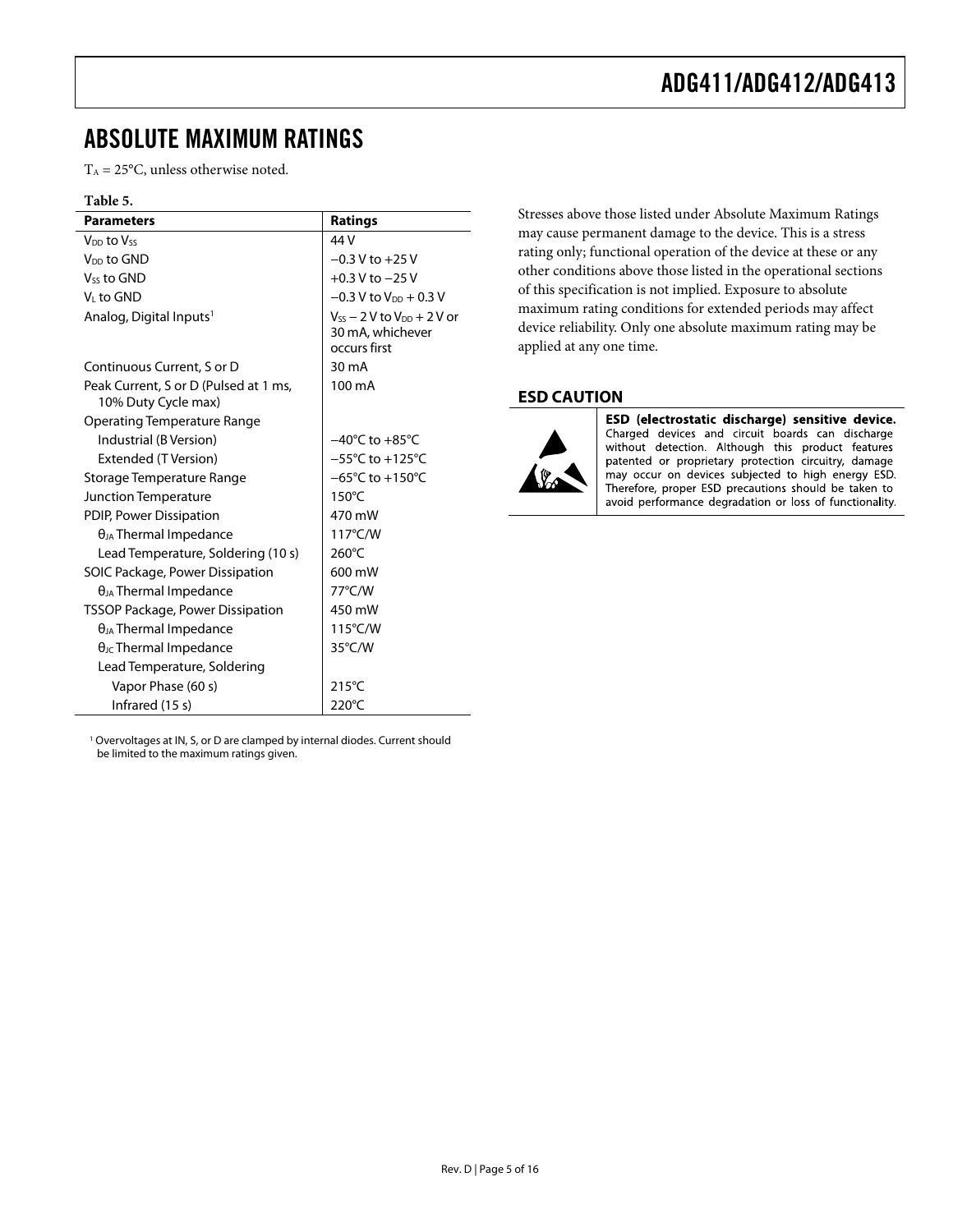### <span id="page-4-1"></span><span id="page-4-0"></span>ABSOLUTE MAXIMUM RATINGS

 $T_A = 25$ °C, unless otherwise noted.

#### **Table 5.**

| <b>Parameters</b>                                            | <b>Ratings</b>                                                          |
|--------------------------------------------------------------|-------------------------------------------------------------------------|
| V <sub>DD</sub> to Vss                                       | 44 V                                                                    |
| V <sub>DD</sub> to GND                                       | $-0.3$ V to $+25$ V                                                     |
| V <sub>ss</sub> to GND                                       | $+0.3$ V to $-25$ V                                                     |
| V <sub>i</sub> to GND                                        | $-0.3$ V to V <sub>DD</sub> + 0.3 V                                     |
| Analog, Digital Inputs <sup>1</sup>                          | $V_{SS}$ – 2 V to $V_{DD}$ + 2 V or<br>30 mA, whichever<br>occurs first |
| Continuous Current, S or D                                   | 30 mA                                                                   |
| Peak Current, S or D (Pulsed at 1 ms,<br>10% Duty Cycle max) | 100 mA                                                                  |
| <b>Operating Temperature Range</b>                           |                                                                         |
| Industrial (B Version)                                       | $-40^{\circ}$ C to $+85^{\circ}$ C                                      |
| Extended (T Version)                                         | $-55^{\circ}$ C to $+125^{\circ}$ C                                     |
| Storage Temperature Range                                    | $-65^{\circ}$ C to +150 $^{\circ}$ C                                    |
| Junction Temperature                                         | $150^{\circ}$ C                                                         |
| PDIP, Power Dissipation                                      | 470 mW                                                                  |
| $\theta_{JA}$ Thermal Impedance                              | 117°C/W                                                                 |
| Lead Temperature, Soldering (10 s)                           | 260°C                                                                   |
| SOIC Package, Power Dissipation                              | 600 mW                                                                  |
| $\theta_{JA}$ Thermal Impedance                              | 77°C/W                                                                  |
| <b>TSSOP Package, Power Dissipation</b>                      | 450 mW                                                                  |
| $\theta_{JA}$ Thermal Impedance                              | $115^{\circ}$ C/W                                                       |
| $\theta$ <sub>JC</sub> Thermal Impedance                     | 35°C/W                                                                  |
| Lead Temperature, Soldering                                  |                                                                         |
| Vapor Phase (60 s)                                           | $215^{\circ}$ C                                                         |
| Infrared (15 s)                                              | 220°C                                                                   |

<sup>1</sup> Overvoltages at IN, S, or D are clamped by internal diodes. Current should be limited to the maximum ratings given.

Stresses above those listed under Absolute Maximum Ratings may cause permanent damage to the device. This is a stress rating only; functional operation of the device at these or any other conditions above those listed in the operational sections of this specification is not implied. Exposure to absolute maximum rating conditions for extended periods may affect device reliability. Only one absolute maximum rating may be applied at any one time.

#### **ESD CAUTION**



ESD (electrostatic discharge) sensitive device. Charged devices and circuit boards can discharge without detection. Although this product features patented or proprietary protection circuitry, damage may occur on devices subjected to high energy ESD. Therefore, proper ESD precautions should be taken to avoid performance degradation or loss of functionality.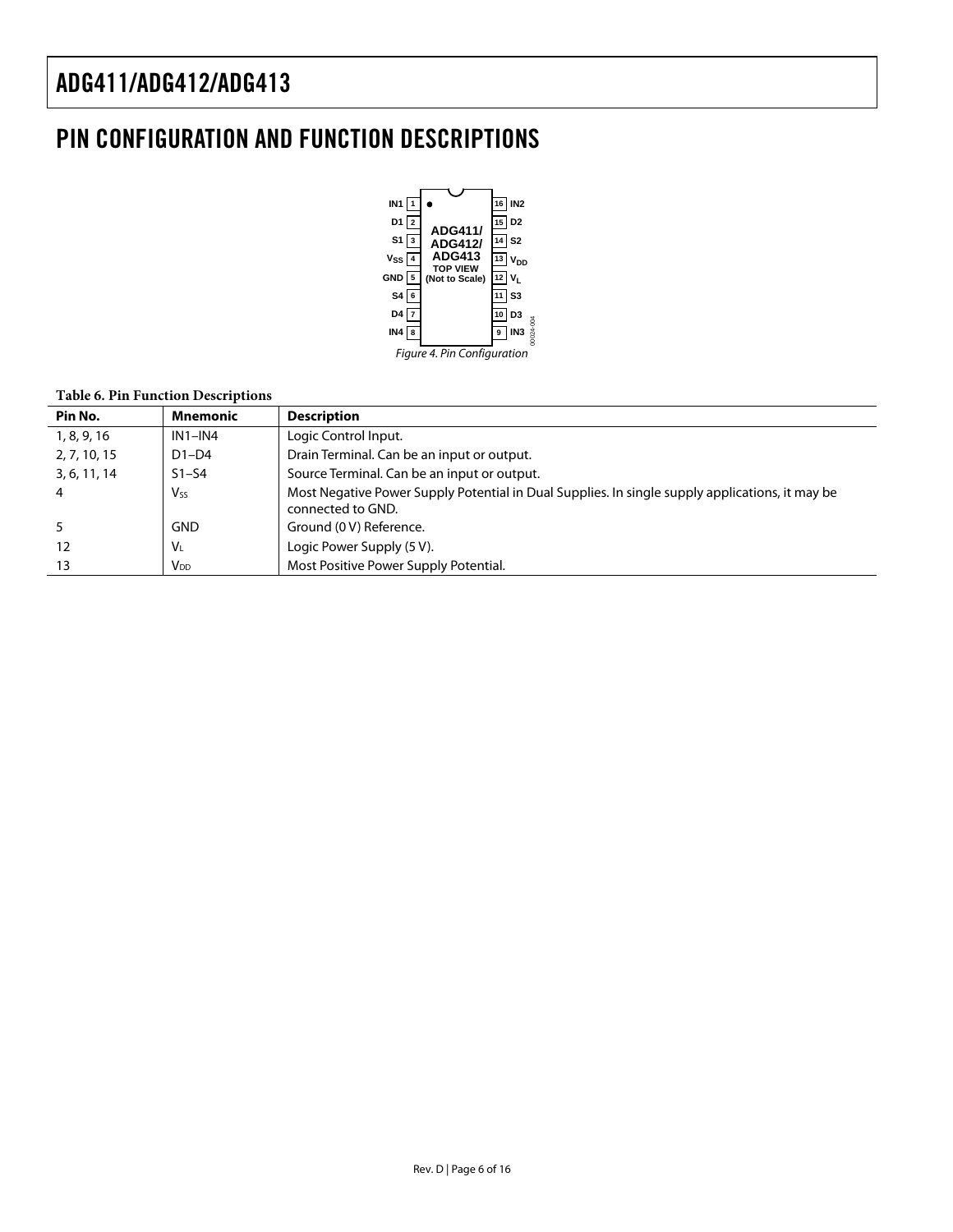### <span id="page-5-0"></span>PIN CONFIGURATION AND FUNCTION DESCRIPTIONS



#### **Table 6. Pin Function Descriptions**

| Pin No.      | <b>Mnemonic</b> | <b>Description</b>                                                                                                   |
|--------------|-----------------|----------------------------------------------------------------------------------------------------------------------|
| 1, 8, 9, 16  | $IN1 - IN4$     | Logic Control Input.                                                                                                 |
| 2, 7, 10, 15 | $D1-D4$         | Drain Terminal. Can be an input or output.                                                                           |
| 3, 6, 11, 14 | $S1-S4$         | Source Terminal. Can be an input or output.                                                                          |
|              | V <sub>ss</sub> | Most Negative Power Supply Potential in Dual Supplies. In single supply applications, it may be<br>connected to GND. |
|              | <b>GND</b>      | Ground (0 V) Reference.                                                                                              |
| 12           | $V_L$           | Logic Power Supply (5 V).                                                                                            |
| 13           | $V_{DD}$        | Most Positive Power Supply Potential.                                                                                |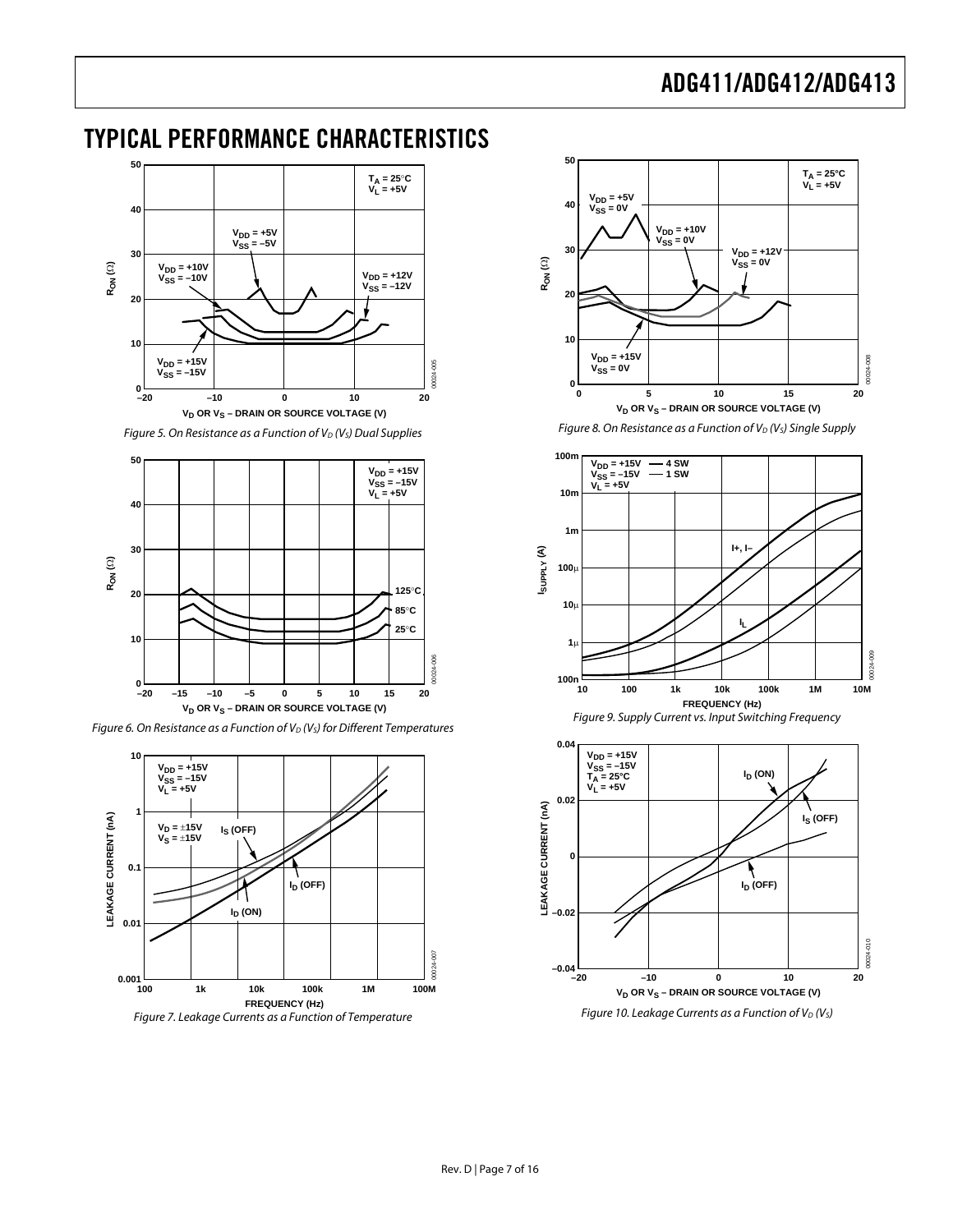### <span id="page-6-0"></span>TYPICAL PERFORMANCE CHARACTERISTICS



Figure 5. On Resistance as a Function of  $V_D$  (V<sub>S</sub>) Dual Supplies



Figure 6. On Resistance as a Function of  $V_D$  (V<sub>s</sub>) for Different Temperatures



Figure 7. Leakage Currents as a Function of Temperature



Figure 8. On Resistance as a Function of  $V_D$  ( $V_S$ ) Single Supply



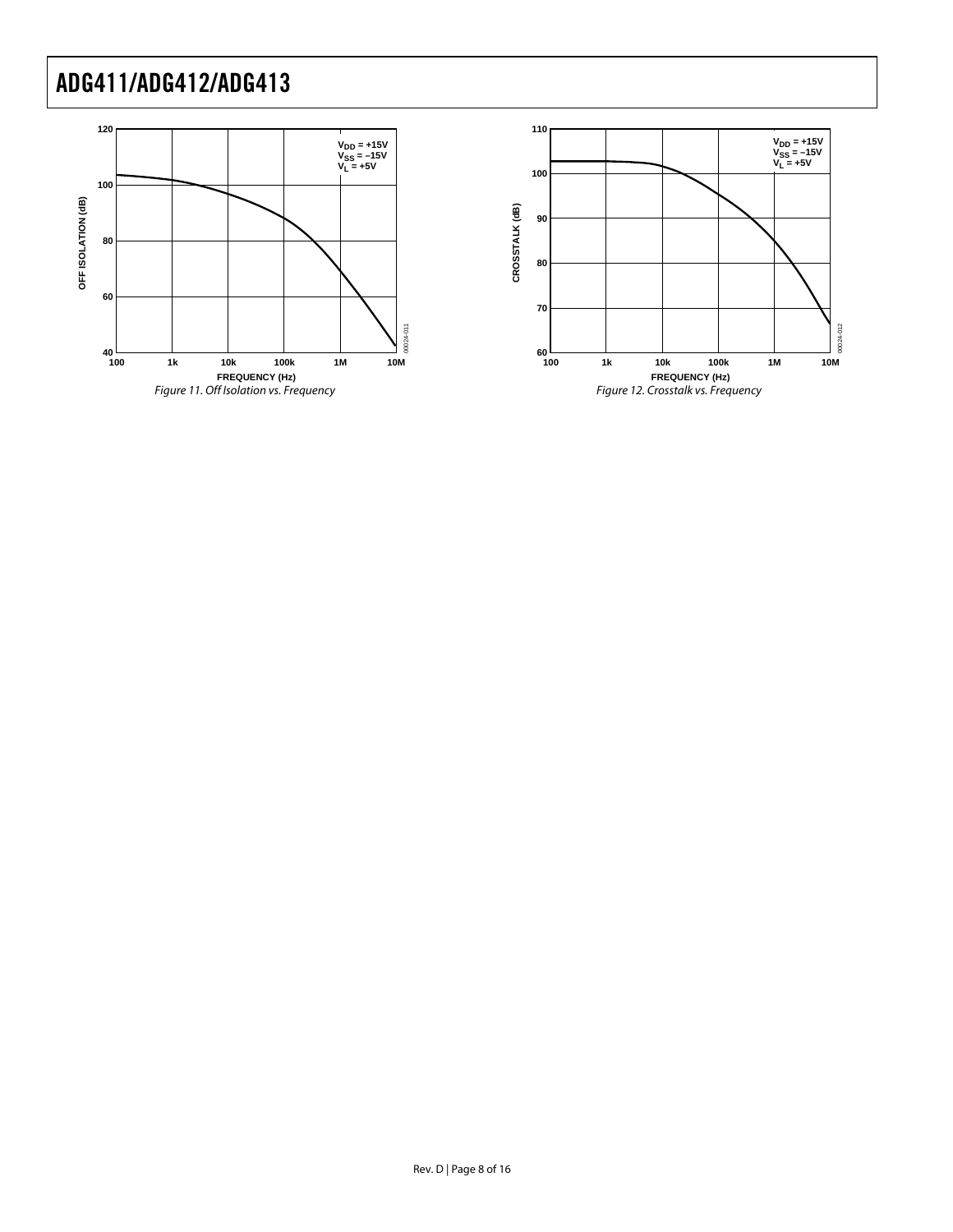

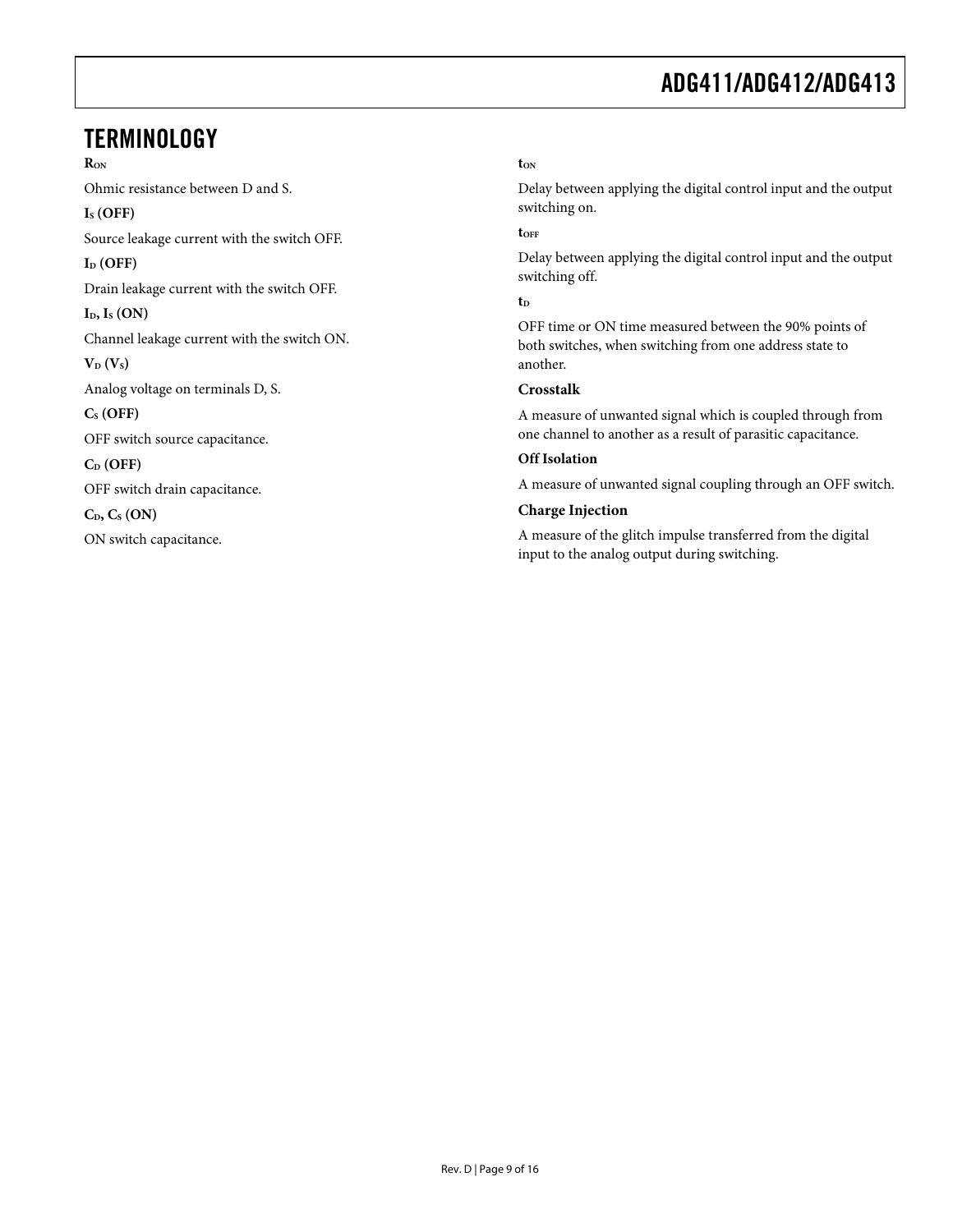### <span id="page-8-0"></span>**TERMINOLOGY**

**RON** Ohmic resistance between D and S. **IS (OFF)**  Source leakage current with the switch OFF. I<sub>D</sub> (OFF) Drain leakage current with the switch OFF. **ID, IS (ON)**  Channel leakage current with the switch ON.  $V_D$  ( $V_S$ ) Analog voltage on terminals D, S. **CS (OFF)**  OFF switch source capacitance. **CD (OFF)**  OFF switch drain capacitance.  $C_{D}$ ,  $C_{S}$  (ON) ON switch capacitance.

#### **tON**

Delay between applying the digital control input and the output switching on.

#### **tOFF**

Delay between applying the digital control input and the output switching off.

#### $t<sub>D</sub>$

OFF time or ON time measured between the 90% points of both switches, when switching from one address state to another.

#### **Crosstalk**

A measure of unwanted signal which is coupled through from one channel to another as a result of parasitic capacitance.

#### **Off Isolation**

A measure of unwanted signal coupling through an OFF switch.

#### **Charge Injection**

A measure of the glitch impulse transferred from the digital input to the analog output during switching.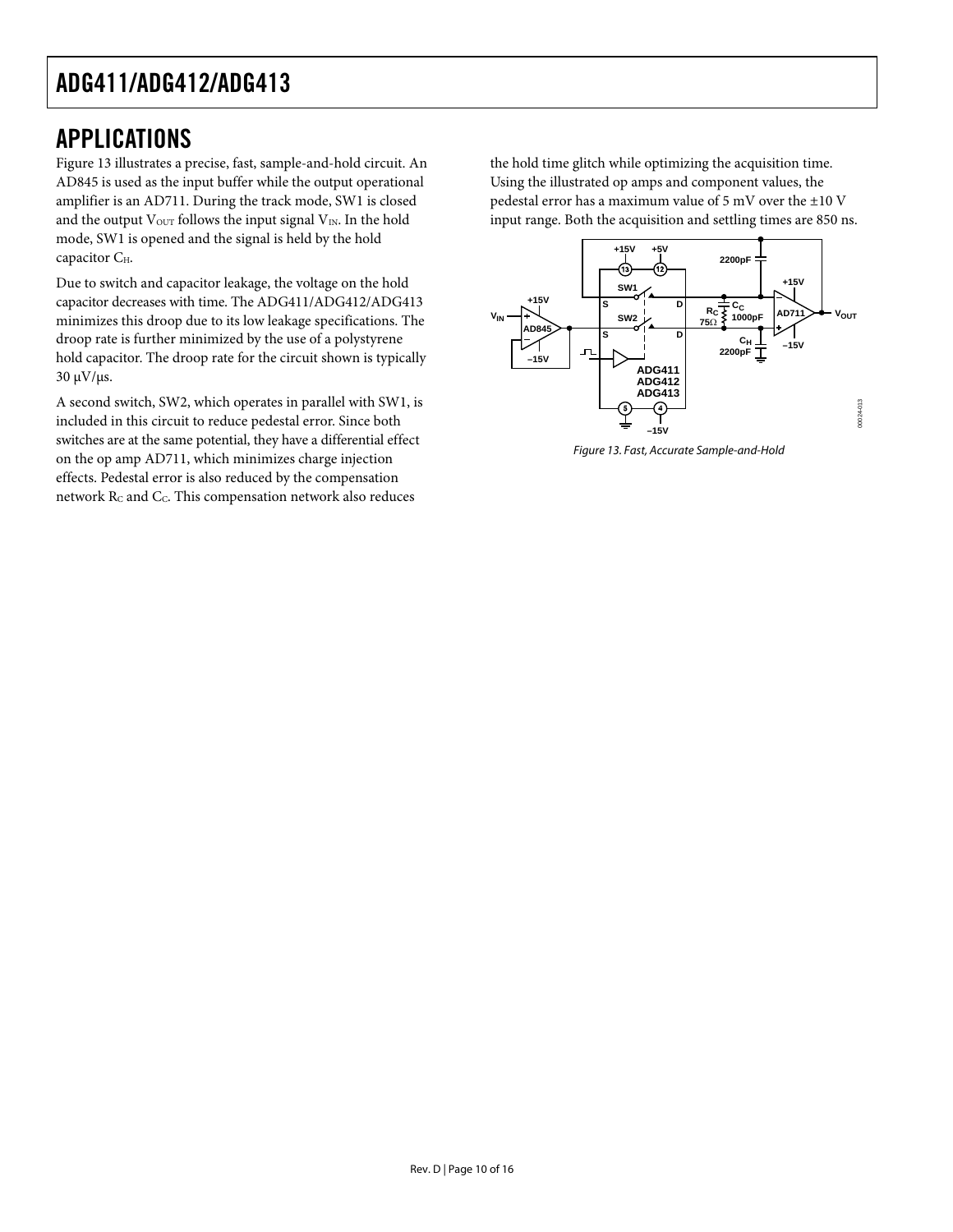### <span id="page-9-0"></span>APPLICATIONS

Figure 13 illustrates a precise, fast, sample-and-hold circuit. An AD845 is used as the input buffer while the output operational amplifier is an AD711. During the track mode, SW1 is closed and the output  $V_{\text{OUT}}$  follows the input signal  $V_{\text{IN}}$ . In the hold mode, SW1 is opened and the signal is held by the hold capacitor C<sub>H</sub>.

Due to switch and capacitor leakage, the voltage on the hold capacitor decreases with time. The ADG411/ADG412/ADG413 minimizes this droop due to its low leakage specifications. The droop rate is further minimized by the use of a polystyrene hold capacitor. The droop rate for the circuit shown is typically 30 μV/μs.

A second switch, SW2, which operates in parallel with SW1, is included in this circuit to reduce pedestal error. Since both switches are at the same potential, they have a differential effect on the op amp AD711, which minimizes charge injection effects. Pedestal error is also reduced by the compensation network  $R_C$  and  $C_C$ . This compensation network also reduces

the hold time glitch while optimizing the acquisition time. Using the illustrated op amps and component values, the pedestal error has a maximum value of 5 mV over the ±10 V input range. Both the acquisition and settling times are 850 ns.



Figure 13. Fast, Accurate Sample-and-Hold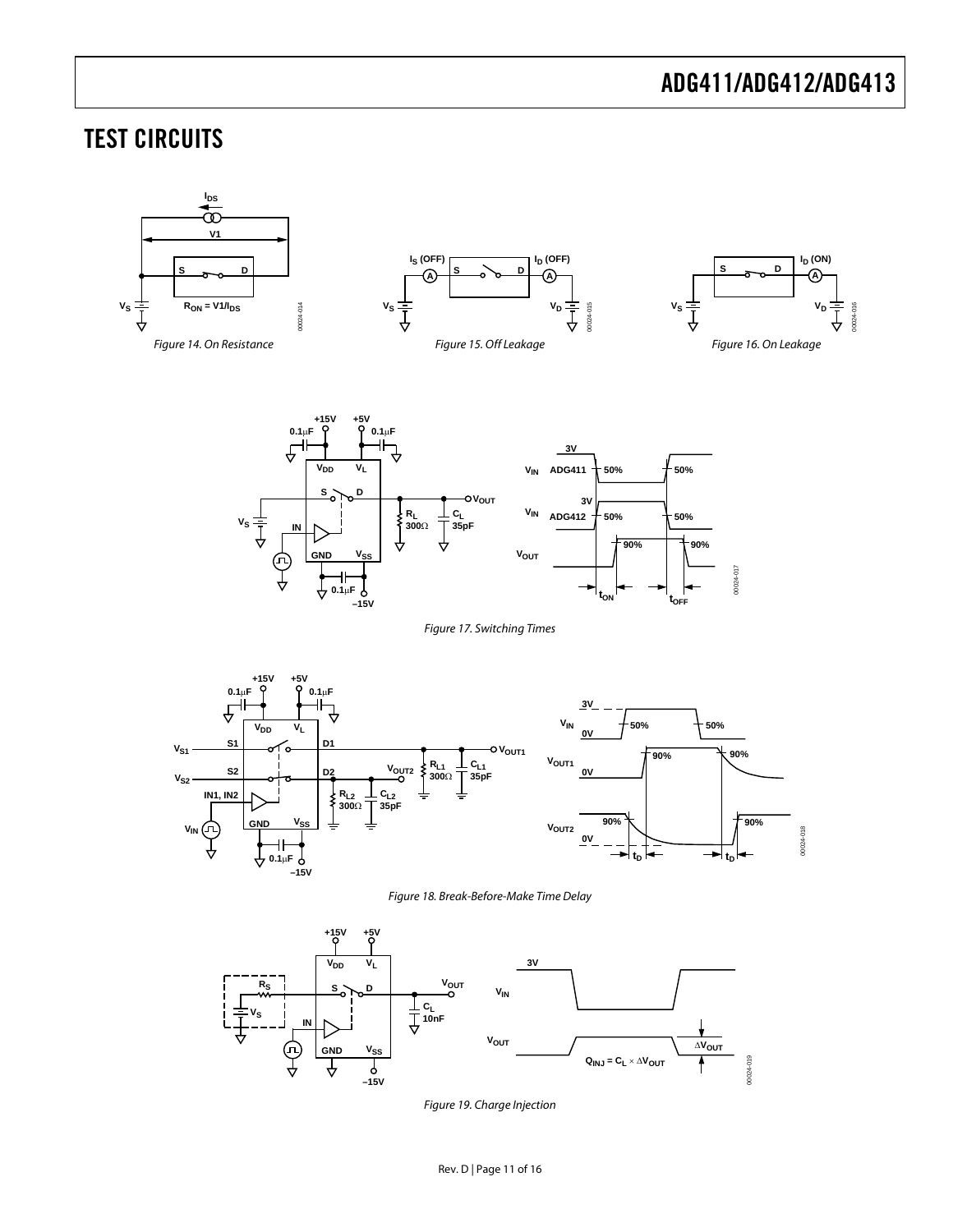### <span id="page-10-0"></span>TEST CIRCUITS

<span id="page-10-1"></span>



Figure 17. Switching Times

<span id="page-10-2"></span>

Figure 18. Break-Before-Make Time Delay

<span id="page-10-4"></span><span id="page-10-3"></span>

Figure 19. Charge Injection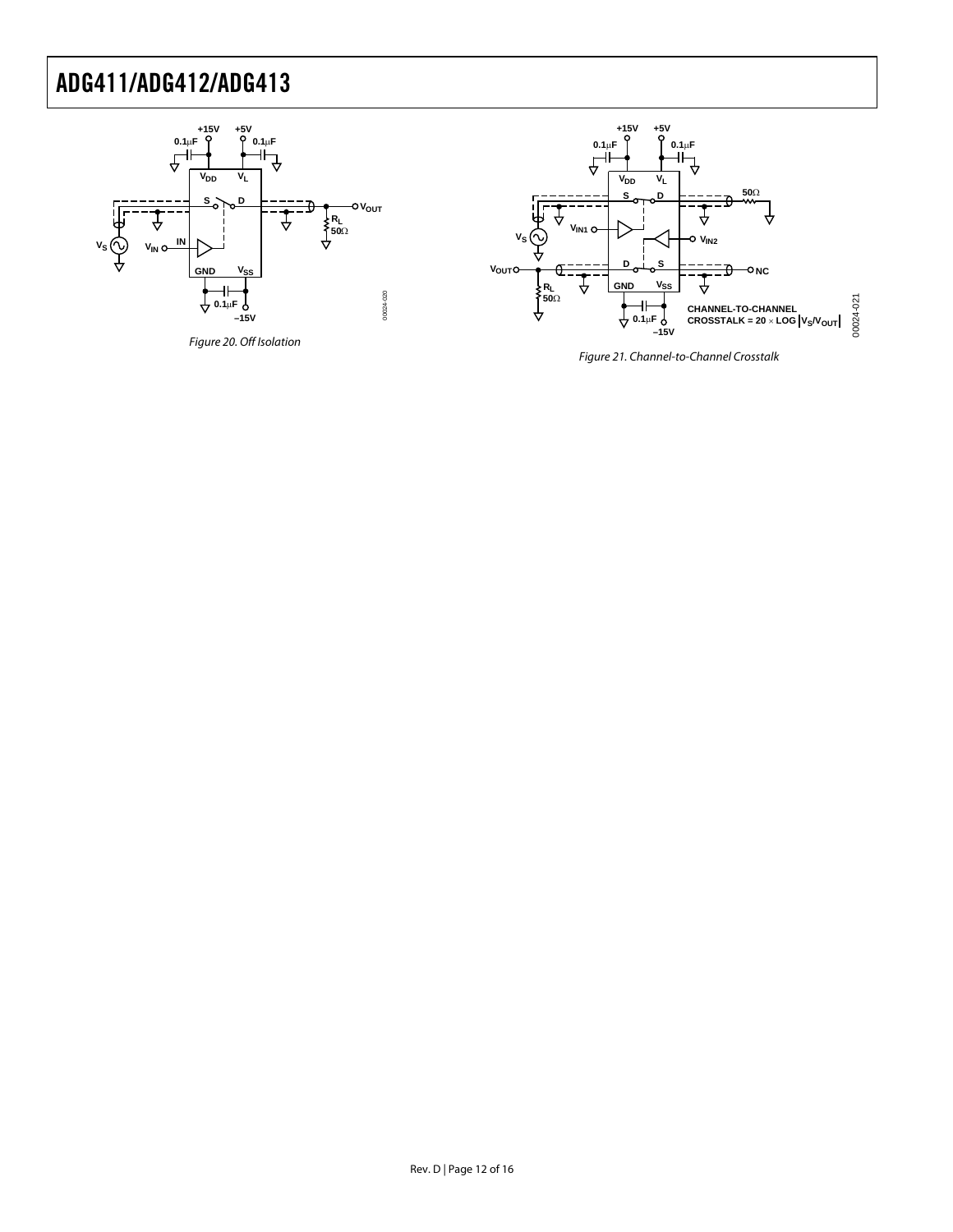

<span id="page-11-1"></span><span id="page-11-0"></span>Figure 20. Off Isolation



Figure 21. Channel-to-Channel Crosstalk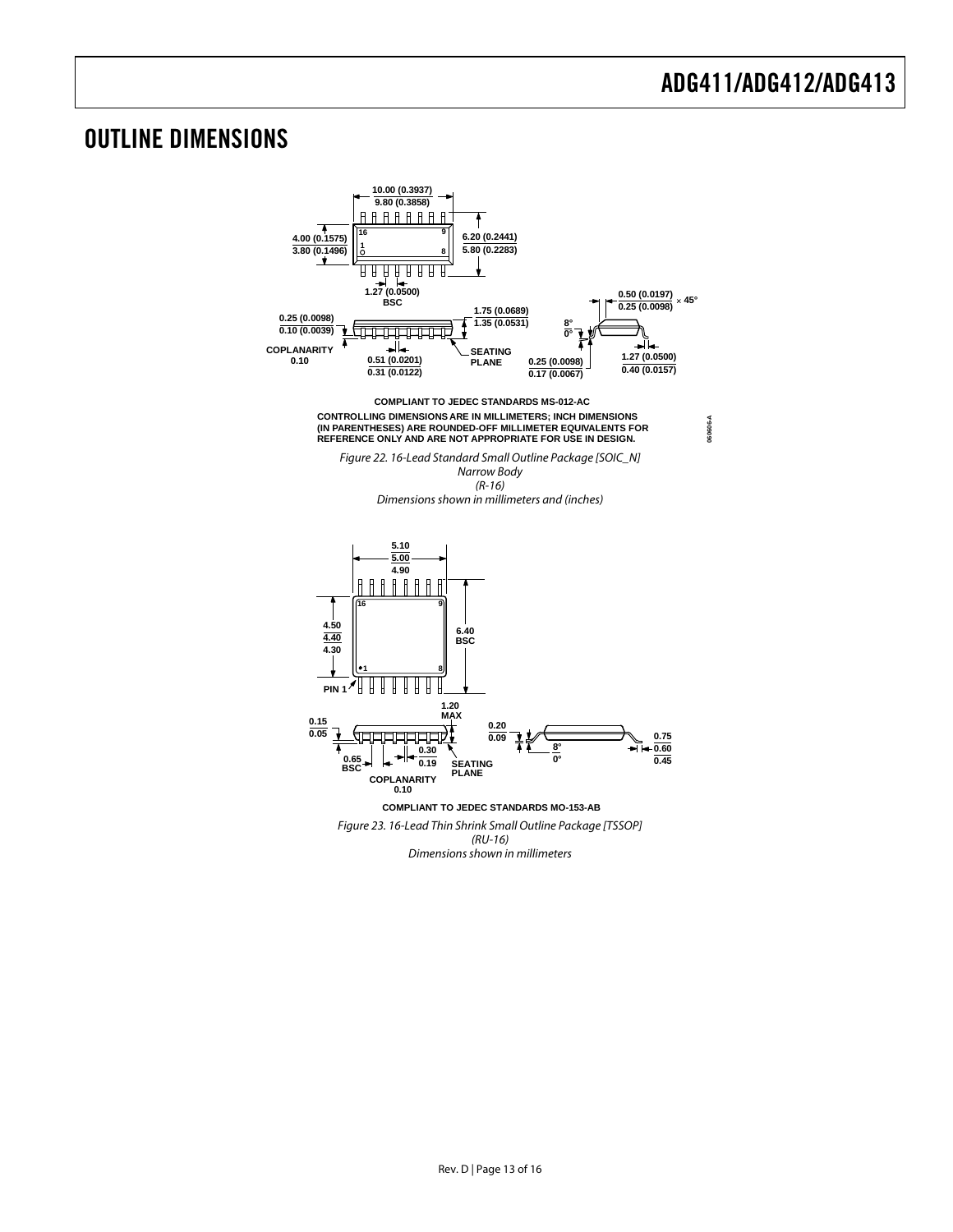### <span id="page-12-0"></span>OUTLINE DIMENSIONS

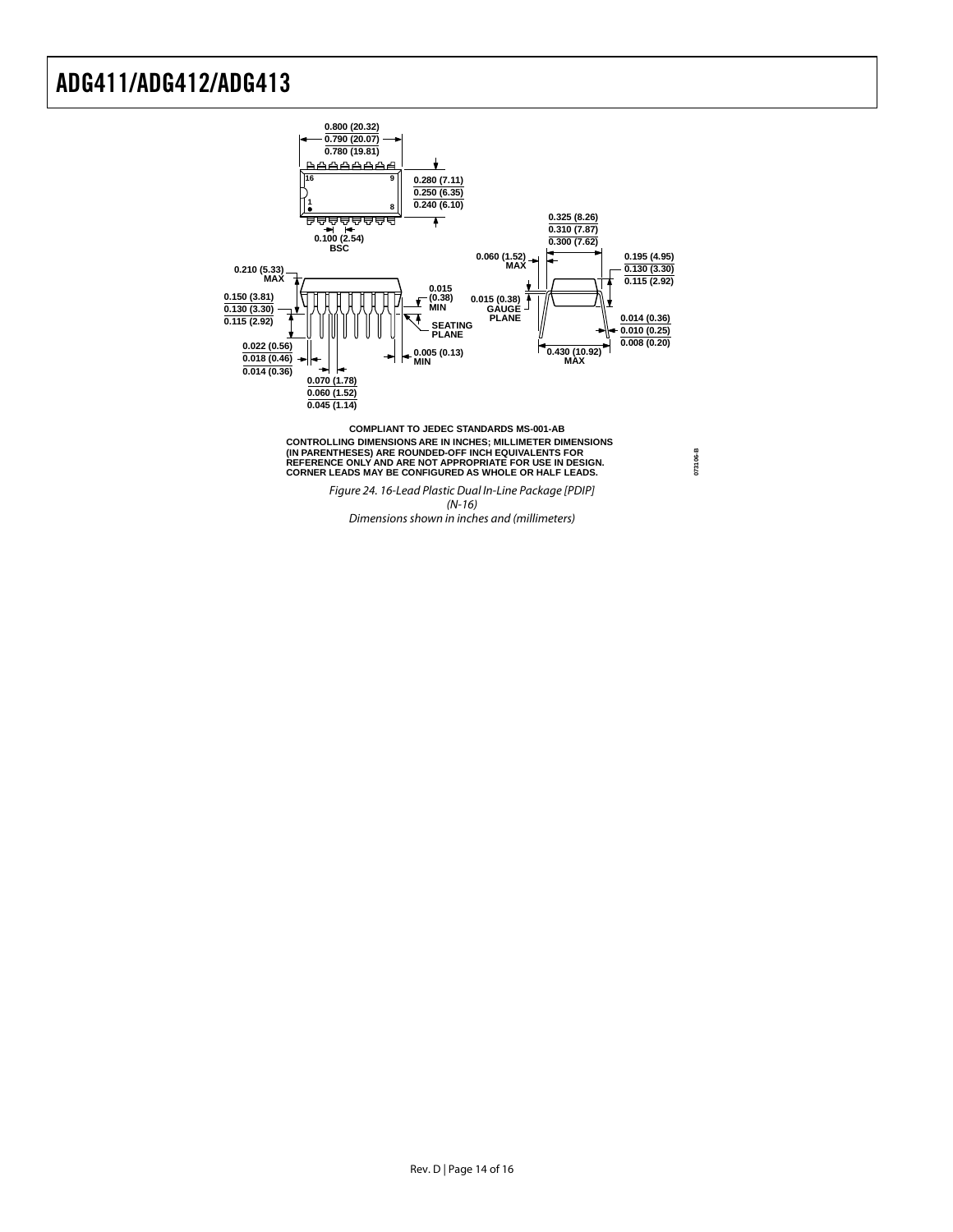

Dimensions shown in inches and (millimeters)

**073106-B**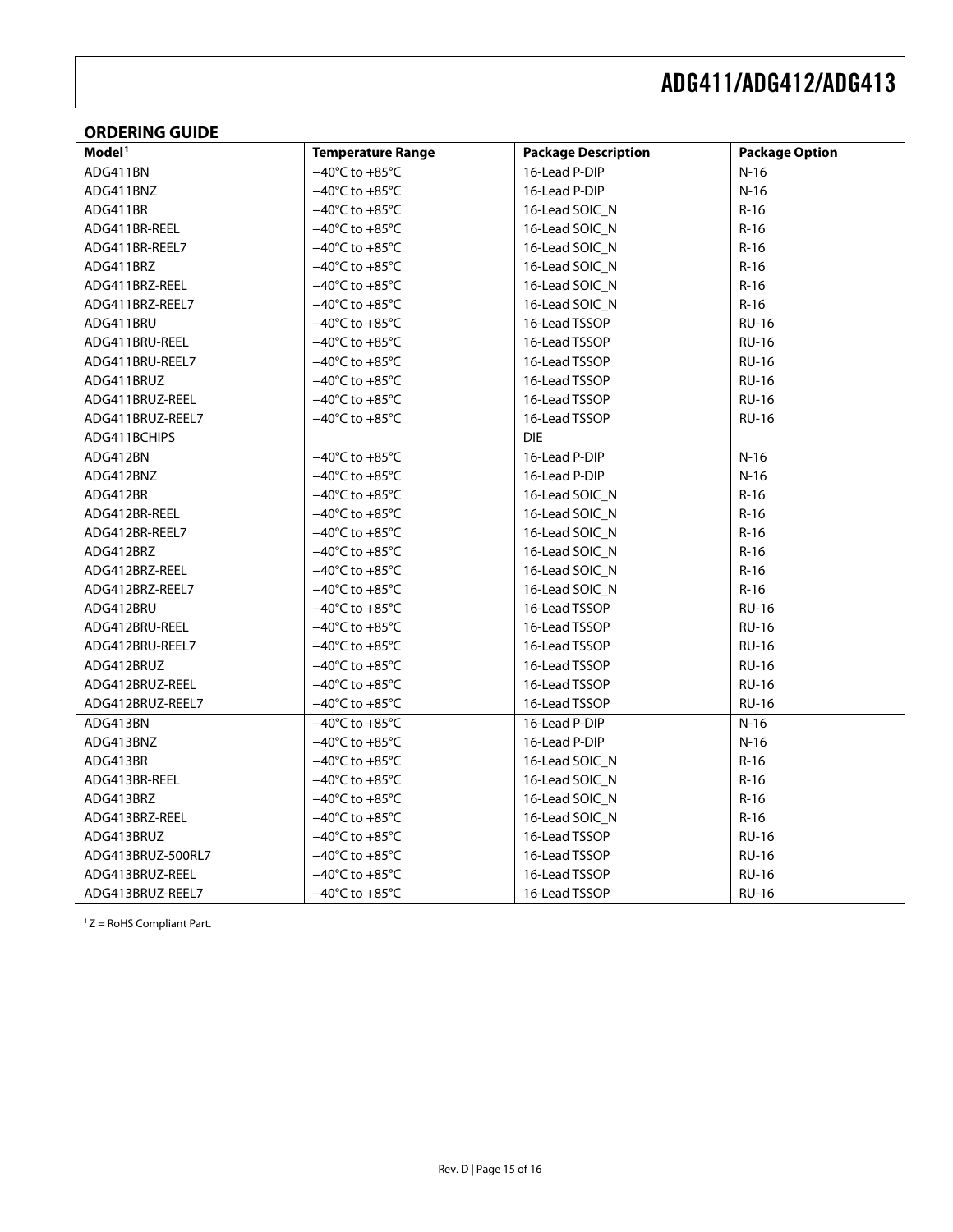### <span id="page-14-0"></span>**ORDERING GUIDE**

| Model <sup>1</sup> | <b>Temperature Range</b>           | <b>Package Description</b> | <b>Package Option</b> |
|--------------------|------------------------------------|----------------------------|-----------------------|
| ADG411BN           | $-40^{\circ}$ C to $+85^{\circ}$ C | 16-Lead P-DIP              | $N-16$                |
| ADG411BNZ          | $-40^{\circ}$ C to $+85^{\circ}$ C | 16-Lead P-DIP              | $N-16$                |
| ADG411BR           | $-40^{\circ}$ C to $+85^{\circ}$ C | 16-Lead SOIC N             | $R-16$                |
| ADG411BR-REEL      | $-40^{\circ}$ C to $+85^{\circ}$ C | 16-Lead SOIC N             | $R-16$                |
| ADG411BR-REEL7     | $-40^{\circ}$ C to $+85^{\circ}$ C | 16-Lead SOIC_N             | $R-16$                |
| ADG411BRZ          | $-40^{\circ}$ C to $+85^{\circ}$ C | 16-Lead SOIC_N             | $R-16$                |
| ADG411BRZ-REEL     | $-40^{\circ}$ C to $+85^{\circ}$ C | 16-Lead SOIC_N             | $R-16$                |
| ADG411BRZ-REEL7    | $-40^{\circ}$ C to $+85^{\circ}$ C | 16-Lead SOIC_N             | $R-16$                |
| ADG411BRU          | $-40^{\circ}$ C to $+85^{\circ}$ C | 16-Lead TSSOP              | <b>RU-16</b>          |
| ADG411BRU-REEL     | $-40^{\circ}$ C to $+85^{\circ}$ C | 16-Lead TSSOP              | <b>RU-16</b>          |
| ADG411BRU-REEL7    | $-40^{\circ}$ C to $+85^{\circ}$ C | 16-Lead TSSOP              | <b>RU-16</b>          |
| ADG411BRUZ         | $-40^{\circ}$ C to $+85^{\circ}$ C | 16-Lead TSSOP              | <b>RU-16</b>          |
| ADG411BRUZ-REEL    | $-40^{\circ}$ C to $+85^{\circ}$ C | 16-Lead TSSOP              | <b>RU-16</b>          |
| ADG411BRUZ-REEL7   | $-40^{\circ}$ C to $+85^{\circ}$ C | 16-Lead TSSOP              | <b>RU-16</b>          |
| ADG411BCHIPS       |                                    | <b>DIE</b>                 |                       |
| ADG412BN           | $-40^{\circ}$ C to $+85^{\circ}$ C | 16-Lead P-DIP              | $N-16$                |
| ADG412BNZ          | $-40^{\circ}$ C to $+85^{\circ}$ C | 16-Lead P-DIP              | $N-16$                |
| ADG412BR           | $-40^{\circ}$ C to $+85^{\circ}$ C | 16-Lead SOIC_N             | $R-16$                |
| ADG412BR-REEL      | $-40^{\circ}$ C to $+85^{\circ}$ C | 16-Lead SOIC_N             | $R-16$                |
| ADG412BR-REEL7     | $-40^{\circ}$ C to $+85^{\circ}$ C | 16-Lead SOIC N             | $R-16$                |
| ADG412BRZ          | $-40^{\circ}$ C to $+85^{\circ}$ C | 16-Lead SOIC_N             | $R-16$                |
| ADG412BRZ-REEL     | $-40^{\circ}$ C to $+85^{\circ}$ C | 16-Lead SOIC N             | $R-16$                |
| ADG412BRZ-REEL7    | $-40^{\circ}$ C to $+85^{\circ}$ C | 16-Lead SOIC_N             | $R-16$                |
| ADG412BRU          | $-40^{\circ}$ C to $+85^{\circ}$ C | 16-Lead TSSOP              | <b>RU-16</b>          |
| ADG412BRU-REEL     | $-40^{\circ}$ C to $+85^{\circ}$ C | 16-Lead TSSOP              | <b>RU-16</b>          |
| ADG412BRU-REEL7    | $-40^{\circ}$ C to $+85^{\circ}$ C | 16-Lead TSSOP              | <b>RU-16</b>          |
| ADG412BRUZ         | $-40^{\circ}$ C to $+85^{\circ}$ C | 16-Lead TSSOP              | <b>RU-16</b>          |
| ADG412BRUZ-REEL    | $-40^{\circ}$ C to $+85^{\circ}$ C | 16-Lead TSSOP              | <b>RU-16</b>          |
| ADG412BRUZ-REEL7   | $-40^{\circ}$ C to $+85^{\circ}$ C | 16-Lead TSSOP              | <b>RU-16</b>          |
| ADG413BN           | $-40^{\circ}$ C to $+85^{\circ}$ C | 16-Lead P-DIP              | $N-16$                |
| ADG413BNZ          | $-40^{\circ}$ C to $+85^{\circ}$ C | 16-Lead P-DIP              | $N-16$                |
| ADG413BR           | $-40^{\circ}$ C to $+85^{\circ}$ C | 16-Lead SOIC_N             | $R-16$                |
| ADG413BR-REEL      | $-40^{\circ}$ C to $+85^{\circ}$ C | 16-Lead SOIC_N             | $R-16$                |
| ADG413BRZ          | $-40^{\circ}$ C to $+85^{\circ}$ C | 16-Lead SOIC_N             | $R-16$                |
| ADG413BRZ-REEL     | $-40^{\circ}$ C to $+85^{\circ}$ C | 16-Lead SOIC_N             | $R-16$                |
| ADG413BRUZ         | $-40^{\circ}$ C to $+85^{\circ}$ C | 16-Lead TSSOP              | <b>RU-16</b>          |
| ADG413BRUZ-500RL7  | $-40^{\circ}$ C to $+85^{\circ}$ C | 16-Lead TSSOP              | <b>RU-16</b>          |
| ADG413BRUZ-REEL    | $-40^{\circ}$ C to $+85^{\circ}$ C | 16-Lead TSSOP              | <b>RU-16</b>          |
| ADG413BRUZ-REEL7   | $-40^{\circ}$ C to $+85^{\circ}$ C | 16-Lead TSSOP              | <b>RU-16</b>          |

 $1 Z =$  RoHS Compliant Part.